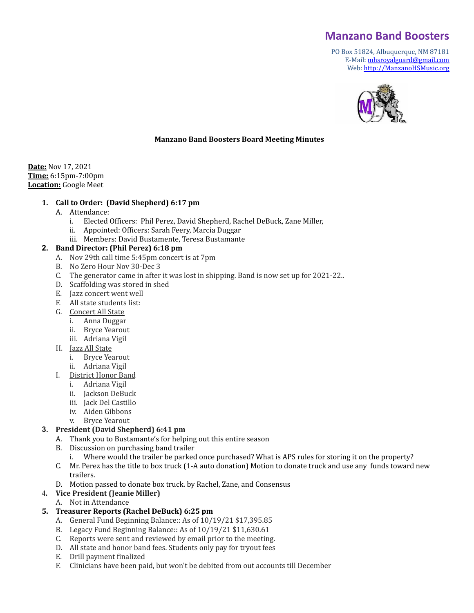# **Manzano Band Boosters**

PO Box 51824, Albuquerque, NM 87181 E-Mail: [mhsroyalguard@gmail.com](mailto:mhsroyalguard@gmail.com) Web: [http://ManzanoHSMusic.org](http://manzanohsmusic.org)



#### **Manzano Band Boosters Board Meeting Minutes**

**Date:** Nov 17, 2021 **Time:** 6:15pm-7:00pm **Location:** Google Meet

#### **1. Call to Order: (David Shepherd) 6:17 pm**

- A. Attendance:
	- i. Elected Officers: Phil Perez, David Shepherd, Rachel DeBuck, Zane Miller,
	- ii. Appointed: Officers: Sarah Feery, Marcia Duggar
	- iii. Members: David Bustamente, Teresa Bustamante

#### **2. Band Director: (Phil Perez) 6:18 pm**

- A. Nov 29th call time 5:45pm concert is at 7pm
- B. No Zero Hour Nov 30-Dec 3
- C. The generator came in after it was lost in shipping. Band is now set up for 2021-22..
- D. Scaffolding was stored in shed
- E. Jazz concert went well
- F. All state students list:
- G. Concert All State
	- i. Anna Duggar
	- ii. Bryce Yearout
	- iii. Adriana Vigil
- H. Jazz All State
	- i. Bryce Yearout
	- ii. Adriana Vigil
- I. District Honor Band
	- i. Adriana Vigil
	- ii. Jackson DeBuck
	- iii. Jack Del Castillo
	- iv. Aiden Gibbons
	- v. Bryce Yearout

#### **3. President (David Shepherd) 6:41 pm**

- A. Thank you to Bustamante's for helping out this entire season
- B. Discussion on purchasing band trailer
	- i. Where would the trailer be parked once purchased? What is APS rules for storing it on the property?
- C. Mr. Perez has the title to box truck (1-A auto donation) Motion to donate truck and use any funds toward new trailers.
- D. Motion passed to donate box truck. by Rachel, Zane, and Consensus
- **4. Vice President (Jeanie Miller)**
	- A. Not in Attendance

# **5. Treasurer Reports (Rachel DeBuck) 6:25 pm**

- A. General Fund Beginning Balance:: As of 10/19/21 \$17,395.85
- B. Legacy Fund Beginning Balance:: As of 10/19/21 \$11,630.61
- C. Reports were sent and reviewed by email prior to the meeting.
- D. All state and honor band fees. Students only pay for tryout fees
- E. Drill payment finalized
- F. Clinicians have been paid, but won't be debited from out accounts till December